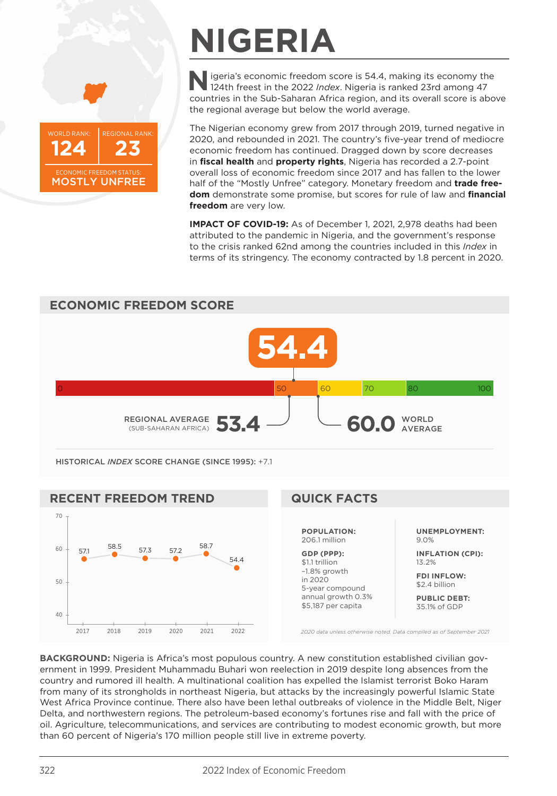

# **NIGERIA**

**N** igeria's economic freedom score is 54.4, making its economy the 124th freest in the 2022 *Index*. Nigeria is ranked 23rd among 47 countries in the Sub-Saharan Africa region, and its overall score is above the regional average but below the world average.

The Nigerian economy grew from 2017 through 2019, turned negative in 2020, and rebounded in 2021. The country's five-year trend of mediocre economic freedom has continued. Dragged down by score decreases in **fiscal health** and **property rights**, Nigeria has recorded a 2.7-point overall loss of economic freedom since 2017 and has fallen to the lower half of the "Mostly Unfree" category. Monetary freedom and **trade freedom** demonstrate some promise, but scores for rule of law and **financial freedom** are very low.

**IMPACT OF COVID-19:** As of December 1, 2021, 2,978 deaths had been attributed to the pandemic in Nigeria, and the government's response to the crisis ranked 62nd among the countries included in this *Index* in terms of its stringency. The economy contracted by 1.8 percent in 2020.



**FDI INFLOW:** \$2.4 billion

**PUBLIC DEBT:** 35.1% of GDP

*2020 data unless otherwise noted. Data compiled as of September 2021*

**BACKGROUND:** Nigeria is Africa's most populous country. A new constitution established civilian government in 1999. President Muhammadu Buhari won reelection in 2019 despite long absences from the country and rumored ill health. A multinational coalition has expelled the Islamist terrorist Boko Haram from many of its strongholds in northeast Nigeria, but attacks by the increasingly powerful Islamic State West Africa Province continue. There also have been lethal outbreaks of violence in the Middle Belt, Niger Delta, and northwestern regions. The petroleum-based economy's fortunes rise and fall with the price of oil. Agriculture, telecommunications, and services are contributing to modest economic growth, but more than 60 percent of Nigeria's 170 million people still live in extreme poverty.

in 2020 5-year compound annual growth 0.3% \$5,187 per capita

2017 2018 2019 2020 2021 2022

40

50